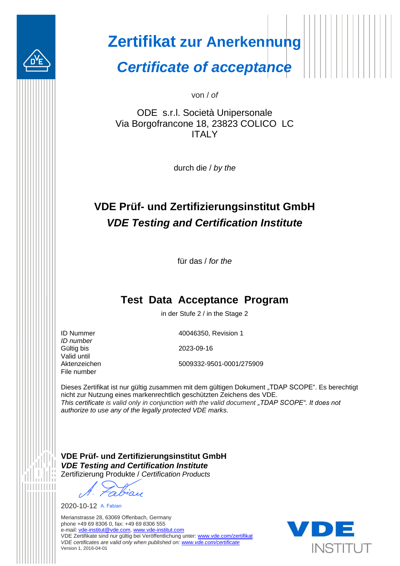

## **Zertifikat zur Anerkennung**

*Certificate of acceptance*

von / *of*

ODE s.r.l. Società Unipersonale Via Borgofrancone 18, 23823 COLICO LC **ITALY** 

durch die / *by the*

### **VDE Prüf- und Zertifizierungsinstitut GmbH** *VDE Testing and Certification Institute*

für das / *for the*

#### **Test Data Acceptance Program**

in der Stufe 2 / in the Stage 2

ID Nummer *ID number* Gültig bis Valid until Aktenzeichen File number

40046350, Revision 1

2023-09-16

5009332-9501-0001/275909

Dieses Zertifikat ist nur gültig zusammen mit dem gültigen Dokument "TDAP SCOPE". Es berechtigt nicht zur Nutzung eines markenrechtlich geschützten Zeichens des VDE. *This certificate is valid only in conjunction with the valid document "TDAP SCOPE". It does not authorize to use any of the legally protected VDE marks.*

**VDE Prüf- und Zertifizierungsinstitut GmbH** *VDE Testing and Certification Institute* Zertifizierung Produkte / *Certification Products*

abiau

2020-10-12 A. Fabian

Merianstrasse 28, 63069 Offenbach, Germany phone +49 69 8306 0, fax: +49 69 8306 555 e-mail: [vde-institut@vde.com,](mailto:vde-institut@vde.com) [www.vde-institut.com](http://www.vde-institut.com/) VDE Zertifikate sind nur gültig bei Veröffentlichung unter[: www.vde.com/zertifikat](http://www.vde.com/zertifikat) *VDE certificates are valid only when published on[: www.vde.com/certificate](http://www.vde.com/certificate)* Version 1, 2016-04-01